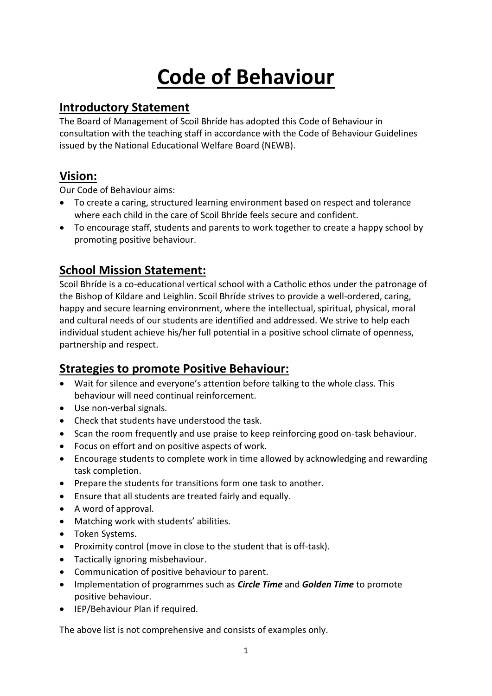# **Code of Behaviour**

# **Introductory Statement**

The Board of Management of Scoil Bhríde has adopted this Code of Behaviour in consultation with the teaching staff in accordance with the Code of Behaviour Guidelines issued by the National Educational Welfare Board (NEWB).

# **Vision:**

Our Code of Behaviour aims:

- To create a caring, structured learning environment based on respect and tolerance where each child in the care of Scoil Bhríde feels secure and confident.
- To encourage staff, students and parents to work together to create a happy school by promoting positive behaviour.

# **School Mission Statement:**

Scoil Bhríde is a co-educational vertical school with a Catholic ethos under the patronage of the Bishop of Kildare and Leighlin. Scoil Bhríde strives to provide a well-ordered, caring, happy and secure learning environment, where the intellectual, spiritual, physical, moral and cultural needs of our students are identified and addressed. We strive to help each individual student achieve his/her full potential in a positive school climate of openness, partnership and respect.

# **Strategies to promote Positive Behaviour:**

- Wait for silence and everyone's attention before talking to the whole class. This behaviour will need continual reinforcement.
- Use non-verbal signals.
- Check that students have understood the task.
- Scan the room frequently and use praise to keep reinforcing good on-task behaviour.
- Focus on effort and on positive aspects of work.
- Encourage students to complete work in time allowed by acknowledging and rewarding task completion.
- Prepare the students for transitions form one task to another.
- Ensure that all students are treated fairly and equally.
- A word of approval.
- Matching work with students' abilities.
- Token Systems.
- Proximity control (move in close to the student that is off-task).
- Tactically ignoring misbehaviour.
- Communication of positive behaviour to parent.
- Implementation of programmes such as *Circle Time* and *Golden Time* to promote positive behaviour.
- IEP/Behaviour Plan if required.

The above list is not comprehensive and consists of examples only.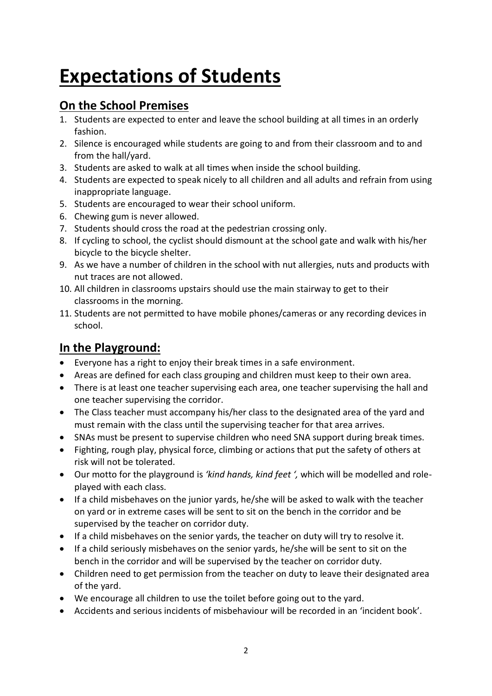# **Expectations of Students**

# **On the School Premises**

- 1. Students are expected to enter and leave the school building at all times in an orderly fashion.
- 2. Silence is encouraged while students are going to and from their classroom and to and from the hall/yard.
- 3. Students are asked to walk at all times when inside the school building.
- 4. Students are expected to speak nicely to all children and all adults and refrain from using inappropriate language.
- 5. Students are encouraged to wear their school uniform.
- 6. Chewing gum is never allowed.
- 7. Students should cross the road at the pedestrian crossing only.
- 8. If cycling to school, the cyclist should dismount at the school gate and walk with his/her bicycle to the bicycle shelter.
- 9. As we have a number of children in the school with nut allergies, nuts and products with nut traces are not allowed.
- 10. All children in classrooms upstairs should use the main stairway to get to their classrooms in the morning.
- 11. Students are not permitted to have mobile phones/cameras or any recording devices in school.

# **In the Playground:**

- Everyone has a right to enjoy their break times in a safe environment.
- Areas are defined for each class grouping and children must keep to their own area.
- There is at least one teacher supervising each area, one teacher supervising the hall and one teacher supervising the corridor.
- The Class teacher must accompany his/her class to the designated area of the yard and must remain with the class until the supervising teacher for that area arrives.
- SNAs must be present to supervise children who need SNA support during break times.
- Fighting, rough play, physical force, climbing or actions that put the safety of others at risk will not be tolerated.
- Our motto for the playground is *'kind hands, kind feet ',* which will be modelled and roleplayed with each class.
- If a child misbehaves on the junior yards, he/she will be asked to walk with the teacher on yard or in extreme cases will be sent to sit on the bench in the corridor and be supervised by the teacher on corridor duty.
- If a child misbehaves on the senior yards, the teacher on duty will try to resolve it.
- If a child seriously misbehaves on the senior yards, he/she will be sent to sit on the bench in the corridor and will be supervised by the teacher on corridor duty.
- Children need to get permission from the teacher on duty to leave their designated area of the yard.
- We encourage all children to use the toilet before going out to the yard.
- Accidents and serious incidents of misbehaviour will be recorded in an 'incident book'.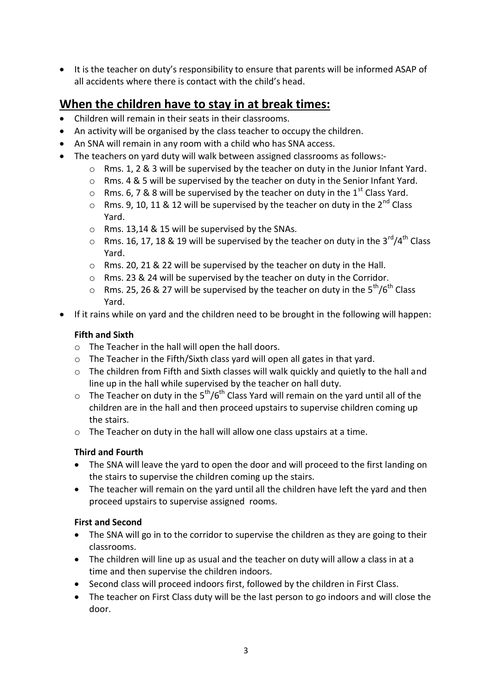It is the teacher on duty's responsibility to ensure that parents will be informed ASAP of all accidents where there is contact with the child's head.

# **When the children have to stay in at break times:**

- Children will remain in their seats in their classrooms.
- An activity will be organised by the class teacher to occupy the children.
- An SNA will remain in any room with a child who has SNA access.
- The teachers on yard duty will walk between assigned classrooms as follows:-
	- $\circ$  Rms. 1, 2 & 3 will be supervised by the teacher on duty in the Junior Infant Yard.
	- o Rms. 4 & 5 will be supervised by the teacher on duty in the Senior Infant Yard.
	- o Rms. 6, 7 & 8 will be supervised by the teacher on duty in the  $1<sup>st</sup>$  Class Yard.
	- $\circ$  Rms. 9, 10, 11 & 12 will be supervised by the teacher on duty in the 2<sup>nd</sup> Class Yard.
	- o Rms. 13,14 & 15 will be supervised by the SNAs.
	- $\circ$  Rms. 16, 17, 18 & 19 will be supervised by the teacher on duty in the 3<sup>rd</sup>/4<sup>th</sup> Class Yard.
	- o Rms. 20, 21 & 22 will be supervised by the teacher on duty in the Hall.
	- o Rms. 23 & 24 will be supervised by the teacher on duty in the Corridor.
	- o Rms. 25, 26 & 27 will be supervised by the teacher on duty in the  $5^{th}/6^{th}$  Class Yard.
- If it rains while on yard and the children need to be brought in the following will happen:

# **Fifth and Sixth**

- o The Teacher in the hall will open the hall doors.
- o The Teacher in the Fifth/Sixth class yard will open all gates in that yard.
- o The children from Fifth and Sixth classes will walk quickly and quietly to the hall and line up in the hall while supervised by the teacher on hall duty.
- $\circ$  The Teacher on duty in the 5<sup>th</sup>/6<sup>th</sup> Class Yard will remain on the yard until all of the children are in the hall and then proceed upstairs to supervise children coming up the stairs.
- o The Teacher on duty in the hall will allow one class upstairs at a time.

# **Third and Fourth**

- The SNA will leave the yard to open the door and will proceed to the first landing on the stairs to supervise the children coming up the stairs.
- The teacher will remain on the yard until all the children have left the yard and then proceed upstairs to supervise assigned rooms.

# **First and Second**

- The SNA will go in to the corridor to supervise the children as they are going to their classrooms.
- The children will line up as usual and the teacher on duty will allow a class in at a time and then supervise the children indoors.
- Second class will proceed indoors first, followed by the children in First Class.
- The teacher on First Class duty will be the last person to go indoors and will close the door.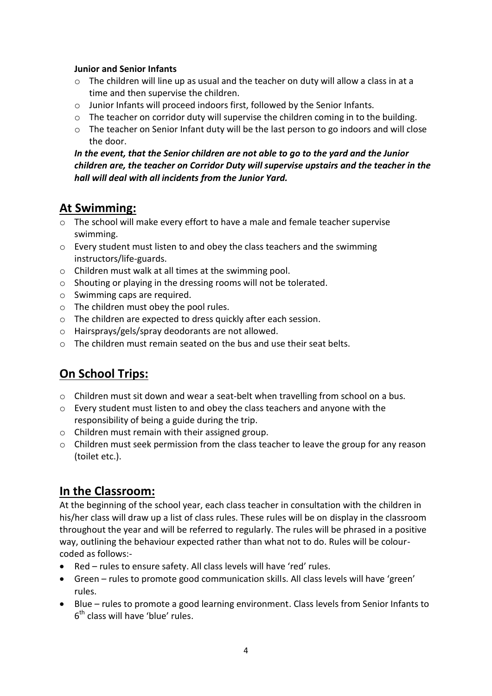#### **Junior and Senior Infants**

- o The children will line up as usual and the teacher on duty will allow a class in at a time and then supervise the children.
- o Junior Infants will proceed indoors first, followed by the Senior Infants.
- $\circ$  The teacher on corridor duty will supervise the children coming in to the building.
- $\circ$  The teacher on Senior Infant duty will be the last person to go indoors and will close the door.

# *In the event, that the Senior children are not able to go to the yard and the Junior children are, the teacher on Corridor Duty will supervise upstairs and the teacher in the hall will deal with all incidents from the Junior Yard.*

# **At Swimming:**

- $\circ$  The school will make every effort to have a male and female teacher supervise swimming.
- o Every student must listen to and obey the class teachers and the swimming instructors/life-guards.
- o Children must walk at all times at the swimming pool.
- o Shouting or playing in the dressing rooms will not be tolerated.
- o Swimming caps are required.
- o The children must obey the pool rules.
- o The children are expected to dress quickly after each session.
- o Hairsprays/gels/spray deodorants are not allowed.
- $\circ$  The children must remain seated on the bus and use their seat belts.

# **On School Trips:**

- $\circ$  Children must sit down and wear a seat-belt when travelling from school on a bus.
- $\circ$  Every student must listen to and obey the class teachers and anyone with the responsibility of being a guide during the trip.
- o Children must remain with their assigned group.
- $\circ$  Children must seek permission from the class teacher to leave the group for any reason (toilet etc.).

# **In the Classroom:**

At the beginning of the school year, each class teacher in consultation with the children in his/her class will draw up a list of class rules. These rules will be on display in the classroom throughout the year and will be referred to regularly. The rules will be phrased in a positive way, outlining the behaviour expected rather than what not to do. Rules will be colourcoded as follows:-

- Red rules to ensure safety. All class levels will have 'red' rules.
- Green rules to promote good communication skills. All class levels will have 'green' rules.
- Blue rules to promote a good learning environment. Class levels from Senior Infants to 6<sup>th</sup> class will have 'blue' rules.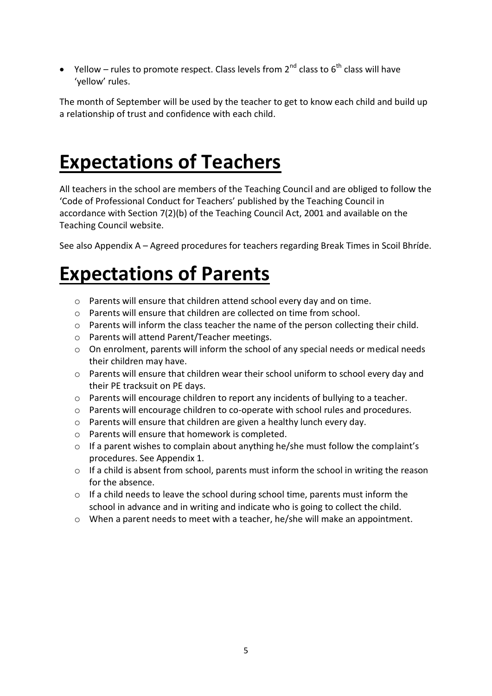$\bullet$  Yellow – rules to promote respect. Class levels from 2<sup>nd</sup> class to 6<sup>th</sup> class will have 'yellow' rules.

The month of September will be used by the teacher to get to know each child and build up a relationship of trust and confidence with each child.

# **Expectations of Teachers**

All teachers in the school are members of the Teaching Council and are obliged to follow the 'Code of Professional Conduct for Teachers' published by the Teaching Council in accordance with Section 7(2)(b) of the Teaching Council Act, 2001 and available on the Teaching Council website.

See also Appendix A – Agreed procedures for teachers regarding Break Times in Scoil Bhríde.

# **Expectations of Parents**

- o Parents will ensure that children attend school every day and on time.
- o Parents will ensure that children are collected on time from school.
- $\circ$  Parents will inform the class teacher the name of the person collecting their child.
- o Parents will attend Parent/Teacher meetings.
- $\circ$  On enrolment, parents will inform the school of any special needs or medical needs their children may have.
- $\circ$  Parents will ensure that children wear their school uniform to school every day and their PE tracksuit on PE days.
- o Parents will encourage children to report any incidents of bullying to a teacher.
- o Parents will encourage children to co-operate with school rules and procedures.
- o Parents will ensure that children are given a healthy lunch every day.
- o Parents will ensure that homework is completed.
- o If a parent wishes to complain about anything he/she must follow the complaint's procedures. See Appendix 1.
- o If a child is absent from school, parents must inform the school in writing the reason for the absence.
- o If a child needs to leave the school during school time, parents must inform the school in advance and in writing and indicate who is going to collect the child.
- o When a parent needs to meet with a teacher, he/she will make an appointment.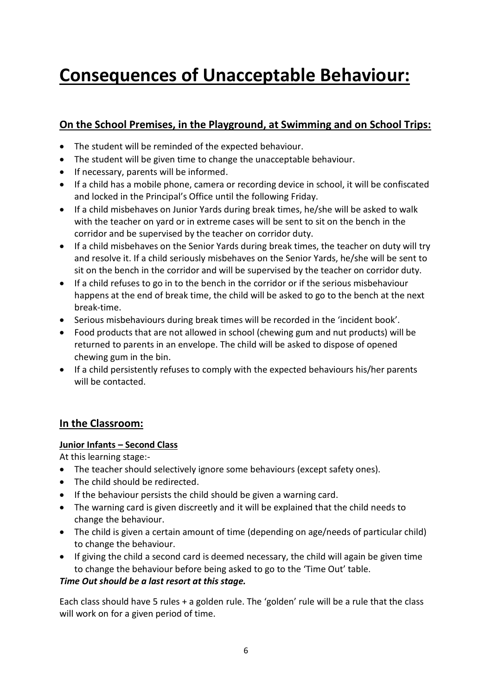# **Consequences of Unacceptable Behaviour:**

# **On the School Premises, in the Playground, at Swimming and on School Trips:**

- The student will be reminded of the expected behaviour.
- The student will be given time to change the unacceptable behaviour.
- If necessary, parents will be informed.
- If a child has a mobile phone, camera or recording device in school, it will be confiscated and locked in the Principal's Office until the following Friday.
- If a child misbehaves on Junior Yards during break times, he/she will be asked to walk with the teacher on yard or in extreme cases will be sent to sit on the bench in the corridor and be supervised by the teacher on corridor duty.
- If a child misbehaves on the Senior Yards during break times, the teacher on duty will try and resolve it. If a child seriously misbehaves on the Senior Yards, he/she will be sent to sit on the bench in the corridor and will be supervised by the teacher on corridor duty.
- If a child refuses to go in to the bench in the corridor or if the serious misbehaviour happens at the end of break time, the child will be asked to go to the bench at the next break-time.
- Serious misbehaviours during break times will be recorded in the 'incident book'.
- Food products that are not allowed in school (chewing gum and nut products) will be returned to parents in an envelope. The child will be asked to dispose of opened chewing gum in the bin.
- If a child persistently refuses to comply with the expected behaviours his/her parents will be contacted.

# **In the Classroom:**

# **Junior Infants – Second Class**

At this learning stage:-

- The teacher should selectively ignore some behaviours (except safety ones).
- The child should be redirected.
- If the behaviour persists the child should be given a warning card.
- The warning card is given discreetly and it will be explained that the child needs to change the behaviour.
- The child is given a certain amount of time (depending on age/needs of particular child) to change the behaviour.
- If giving the child a second card is deemed necessary, the child will again be given time to change the behaviour before being asked to go to the 'Time Out' table.

# *Time Out should be a last resort at this stage.*

Each class should have 5 rules + a golden rule. The 'golden' rule will be a rule that the class will work on for a given period of time.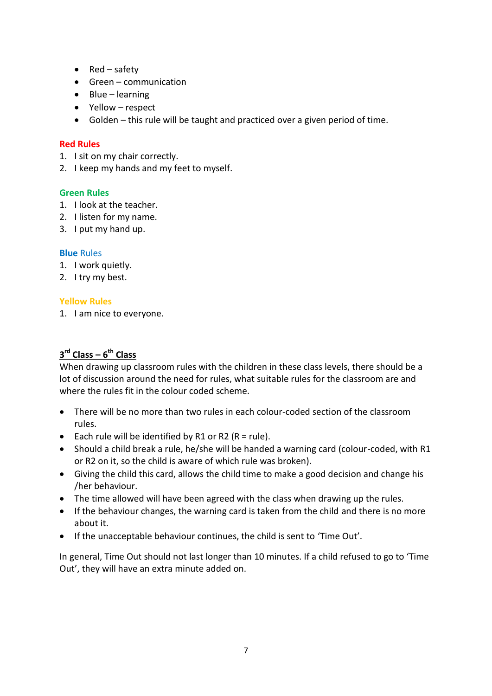- $\bullet$  Red safety
- Green communication
- $\bullet$  Blue learning
- Yellow respect
- Golden this rule will be taught and practiced over a given period of time.

# **Red Rules**

- 1. I sit on my chair correctly.
- 2. I keep my hands and my feet to myself.

#### **Green Rules**

- 1. I look at the teacher.
- 2. I listen for my name.
- 3. I put my hand up.

#### **Blue** Rules

- 1. I work quietly.
- 2. I try my best.

#### **Yellow Rules**

1. I am nice to everyone.

# **3 rd Class – 6 th Class**

When drawing up classroom rules with the children in these class levels, there should be a lot of discussion around the need for rules, what suitable rules for the classroom are and where the rules fit in the colour coded scheme.

- There will be no more than two rules in each colour-coded section of the classroom rules.
- Each rule will be identified by R1 or R2 ( $R = rule$ ).
- Should a child break a rule, he/she will be handed a warning card (colour-coded, with R1 or R2 on it, so the child is aware of which rule was broken).
- Giving the child this card, allows the child time to make a good decision and change his /her behaviour.
- The time allowed will have been agreed with the class when drawing up the rules.
- If the behaviour changes, the warning card is taken from the child and there is no more about it.
- If the unacceptable behaviour continues, the child is sent to 'Time Out'.

In general, Time Out should not last longer than 10 minutes. If a child refused to go to 'Time Out', they will have an extra minute added on.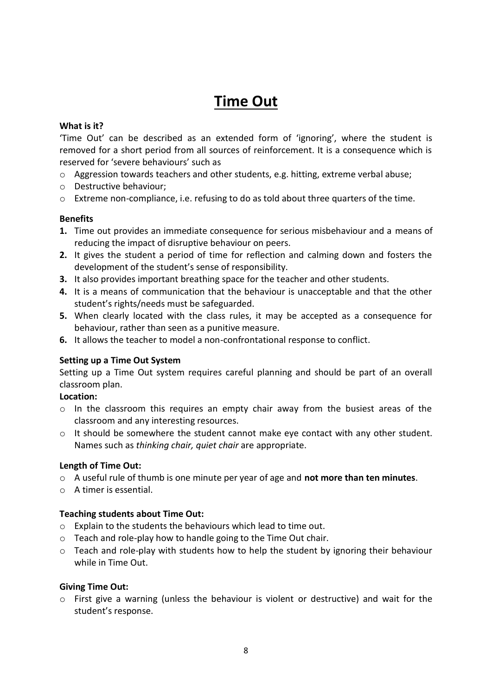# **Time Out**

# **What is it?**

'Time Out' can be described as an extended form of 'ignoring', where the student is removed for a short period from all sources of reinforcement. It is a consequence which is reserved for 'severe behaviours' such as

- $\circ$  Aggression towards teachers and other students, e.g. hitting, extreme verbal abuse;
- o Destructive behaviour;
- o Extreme non-compliance, i.e. refusing to do as told about three quarters of the time.

#### **Benefits**

- **1.** Time out provides an immediate consequence for serious misbehaviour and a means of reducing the impact of disruptive behaviour on peers.
- **2.** It gives the student a period of time for reflection and calming down and fosters the development of the student's sense of responsibility.
- **3.** It also provides important breathing space for the teacher and other students.
- **4.** It is a means of communication that the behaviour is unacceptable and that the other student's rights/needs must be safeguarded.
- **5.** When clearly located with the class rules, it may be accepted as a consequence for behaviour, rather than seen as a punitive measure.
- **6.** It allows the teacher to model a non-confrontational response to conflict.

# **Setting up a Time Out System**

Setting up a Time Out system requires careful planning and should be part of an overall classroom plan.

#### **Location:**

- o In the classroom this requires an empty chair away from the busiest areas of the classroom and any interesting resources.
- $\circ$  It should be somewhere the student cannot make eye contact with any other student. Names such as *thinking chair, quiet chair* are appropriate.

# **Length of Time Out:**

- o A useful rule of thumb is one minute per year of age and **not more than ten minutes**.
- o A timer is essential.

# **Teaching students about Time Out:**

- o Explain to the students the behaviours which lead to time out.
- o Teach and role-play how to handle going to the Time Out chair.
- o Teach and role-play with students how to help the student by ignoring their behaviour while in Time Out.

#### **Giving Time Out:**

o First give a warning (unless the behaviour is violent or destructive) and wait for the student's response.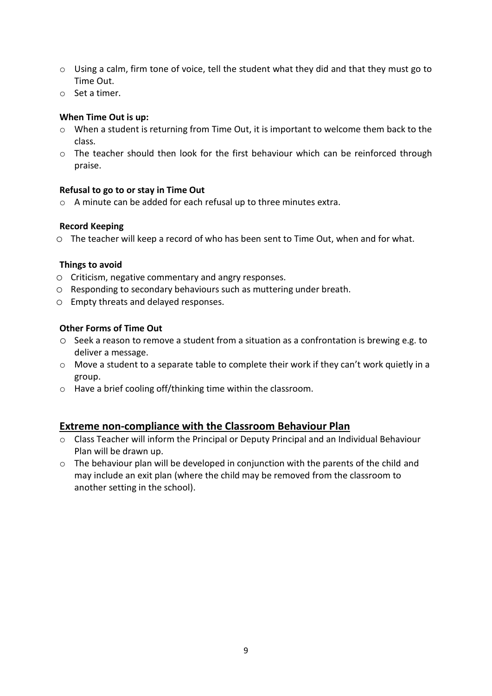- $\circ$  Using a calm, firm tone of voice, tell the student what they did and that they must go to Time Out.
- o Set a timer.

### **When Time Out is up:**

- o When a student is returning from Time Out, it is important to welcome them back to the class.
- o The teacher should then look for the first behaviour which can be reinforced through praise.

#### **Refusal to go to or stay in Time Out**

o A minute can be added for each refusal up to three minutes extra.

#### **Record Keeping**

o The teacher will keep a record of who has been sent to Time Out, when and for what.

#### **Things to avoid**

- o Criticism, negative commentary and angry responses.
- o Responding to secondary behaviours such as muttering under breath.
- o Empty threats and delayed responses.

# **Other Forms of Time Out**

- $\circ$  Seek a reason to remove a student from a situation as a confrontation is brewing e.g. to deliver a message.
- $\circ$  Move a student to a separate table to complete their work if they can't work quietly in a group.
- o Have a brief cooling off/thinking time within the classroom.

# **Extreme non-compliance with the Classroom Behaviour Plan**

- o Class Teacher will inform the Principal or Deputy Principal and an Individual Behaviour Plan will be drawn up.
- $\circ$  The behaviour plan will be developed in conjunction with the parents of the child and may include an exit plan (where the child may be removed from the classroom to another setting in the school).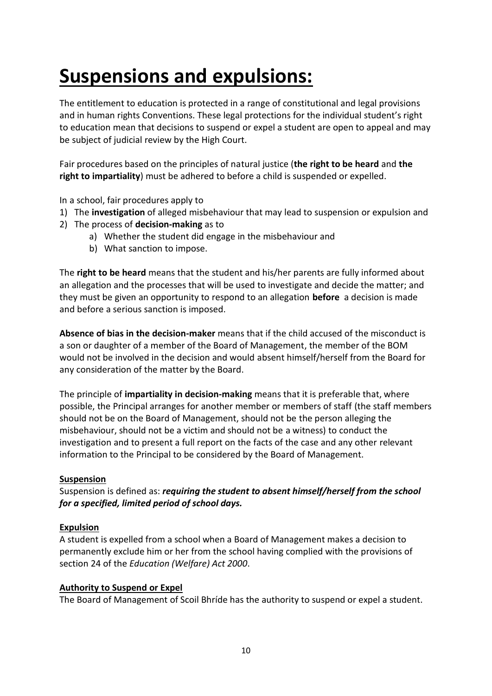# **Suspensions and expulsions:**

The entitlement to education is protected in a range of constitutional and legal provisions and in human rights Conventions. These legal protections for the individual student's right to education mean that decisions to suspend or expel a student are open to appeal and may be subject of judicial review by the High Court.

Fair procedures based on the principles of natural justice (**the right to be heard** and **the right to impartiality**) must be adhered to before a child is suspended or expelled.

In a school, fair procedures apply to

- 1) The **investigation** of alleged misbehaviour that may lead to suspension or expulsion and
- 2) The process of **decision-making** as to
	- a) Whether the student did engage in the misbehaviour and
	- b) What sanction to impose.

The **right to be heard** means that the student and his/her parents are fully informed about an allegation and the processes that will be used to investigate and decide the matter; and they must be given an opportunity to respond to an allegation **before** a decision is made and before a serious sanction is imposed.

**Absence of bias in the decision-maker** means that if the child accused of the misconduct is a son or daughter of a member of the Board of Management, the member of the BOM would not be involved in the decision and would absent himself/herself from the Board for any consideration of the matter by the Board.

The principle of **impartiality in decision-making** means that it is preferable that, where possible, the Principal arranges for another member or members of staff (the staff members should not be on the Board of Management, should not be the person alleging the misbehaviour, should not be a victim and should not be a witness) to conduct the investigation and to present a full report on the facts of the case and any other relevant information to the Principal to be considered by the Board of Management.

# **Suspension**

Suspension is defined as: *requiring the student to absent himself/herself from the school for a specified, limited period of school days.*

# **Expulsion**

A student is expelled from a school when a Board of Management makes a decision to permanently exclude him or her from the school having complied with the provisions of section 24 of the *Education (Welfare) Act 2000*.

# **Authority to Suspend or Expel**

The Board of Management of Scoil Bhríde has the authority to suspend or expel a student.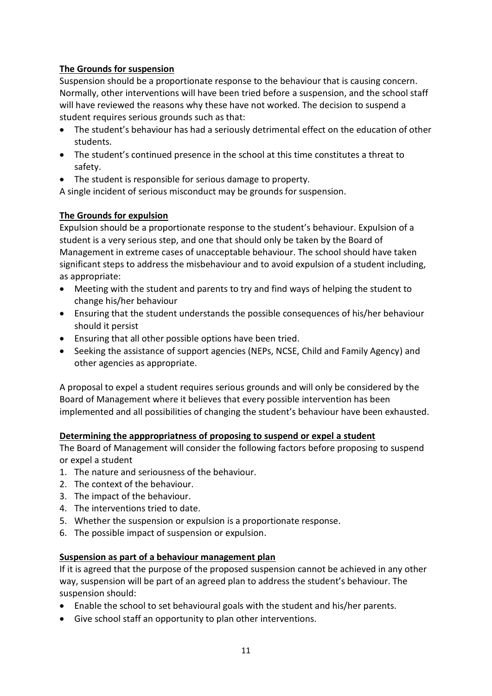# **The Grounds for suspension**

Suspension should be a proportionate response to the behaviour that is causing concern. Normally, other interventions will have been tried before a suspension, and the school staff will have reviewed the reasons why these have not worked. The decision to suspend a student requires serious grounds such as that:

- The student's behaviour has had a seriously detrimental effect on the education of other students.
- The student's continued presence in the school at this time constitutes a threat to safety.
- The student is responsible for serious damage to property.

A single incident of serious misconduct may be grounds for suspension.

# **The Grounds for expulsion**

Expulsion should be a proportionate response to the student's behaviour. Expulsion of a student is a very serious step, and one that should only be taken by the Board of Management in extreme cases of unacceptable behaviour. The school should have taken significant steps to address the misbehaviour and to avoid expulsion of a student including, as appropriate:

- Meeting with the student and parents to try and find ways of helping the student to change his/her behaviour
- Ensuring that the student understands the possible consequences of his/her behaviour should it persist
- Ensuring that all other possible options have been tried.
- Seeking the assistance of support agencies (NEPs, NCSE, Child and Family Agency) and other agencies as appropriate.

A proposal to expel a student requires serious grounds and will only be considered by the Board of Management where it believes that every possible intervention has been implemented and all possibilities of changing the student's behaviour have been exhausted.

# **Determining the apppropriatness of proposing to suspend or expel a student**

The Board of Management will consider the following factors before proposing to suspend or expel a student

- 1. The nature and seriousness of the behaviour.
- 2. The context of the behaviour.
- 3. The impact of the behaviour.
- 4. The interventions tried to date.
- 5. Whether the suspension or expulsion is a proportionate response.
- 6. The possible impact of suspension or expulsion.

# **Suspension as part of a behaviour management plan**

If it is agreed that the purpose of the proposed suspension cannot be achieved in any other way, suspension will be part of an agreed plan to address the student's behaviour. The suspension should:

- Enable the school to set behavioural goals with the student and his/her parents.
- Give school staff an opportunity to plan other interventions.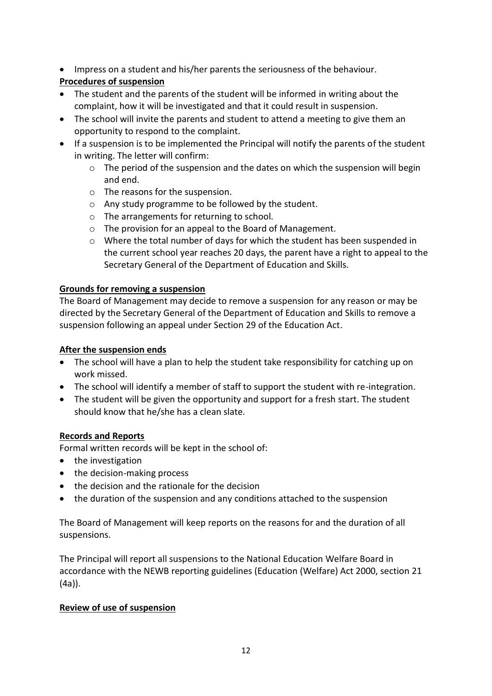Impress on a student and his/her parents the seriousness of the behaviour.

# **Procedures of suspension**

- The student and the parents of the student will be informed in writing about the complaint, how it will be investigated and that it could result in suspension.
- The school will invite the parents and student to attend a meeting to give them an opportunity to respond to the complaint.
- If a suspension is to be implemented the Principal will notify the parents of the student in writing. The letter will confirm:
	- o The period of the suspension and the dates on which the suspension will begin and end.
	- o The reasons for the suspension.
	- o Any study programme to be followed by the student.
	- o The arrangements for returning to school.
	- o The provision for an appeal to the Board of Management.
	- $\circ$  Where the total number of days for which the student has been suspended in the current school year reaches 20 days, the parent have a right to appeal to the Secretary General of the Department of Education and Skills.

# **Grounds for removing a suspension**

The Board of Management may decide to remove a suspension for any reason or may be directed by the Secretary General of the Department of Education and Skills to remove a suspension following an appeal under Section 29 of the Education Act.

# **After the suspension ends**

- The school will have a plan to help the student take responsibility for catching up on work missed.
- The school will identify a member of staff to support the student with re-integration.
- The student will be given the opportunity and support for a fresh start. The student should know that he/she has a clean slate.

# **Records and Reports**

Formal written records will be kept in the school of:

- the investigation
- the decision-making process
- the decision and the rationale for the decision
- the duration of the suspension and any conditions attached to the suspension

The Board of Management will keep reports on the reasons for and the duration of all suspensions.

The Principal will report all suspensions to the National Education Welfare Board in accordance with the NEWB reporting guidelines (Education (Welfare) Act 2000, section 21 (4a)).

# **Review of use of suspension**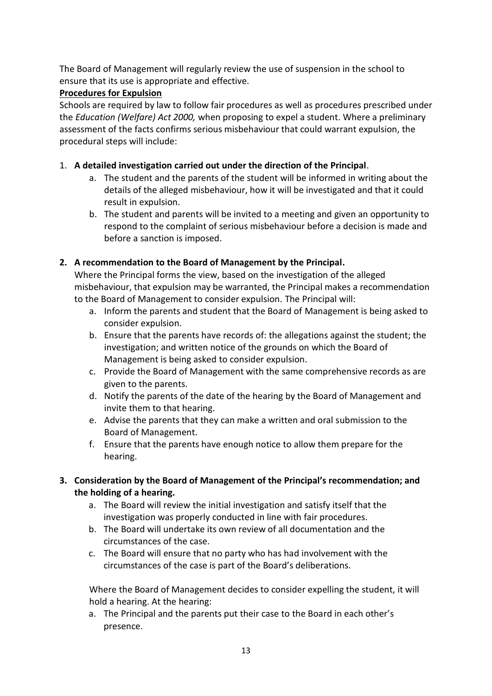The Board of Management will regularly review the use of suspension in the school to ensure that its use is appropriate and effective.

# **Procedures for Expulsion**

Schools are required by law to follow fair procedures as well as procedures prescribed under the *Education (Welfare) Act 2000,* when proposing to expel a student. Where a preliminary assessment of the facts confirms serious misbehaviour that could warrant expulsion, the procedural steps will include:

# 1. **A detailed investigation carried out under the direction of the Principal**.

- a. The student and the parents of the student will be informed in writing about the details of the alleged misbehaviour, how it will be investigated and that it could result in expulsion.
- b. The student and parents will be invited to a meeting and given an opportunity to respond to the complaint of serious misbehaviour before a decision is made and before a sanction is imposed.

# **2. A recommendation to the Board of Management by the Principal.**

Where the Principal forms the view, based on the investigation of the alleged misbehaviour, that expulsion may be warranted, the Principal makes a recommendation to the Board of Management to consider expulsion. The Principal will:

- a. Inform the parents and student that the Board of Management is being asked to consider expulsion.
- b. Ensure that the parents have records of: the allegations against the student; the investigation; and written notice of the grounds on which the Board of Management is being asked to consider expulsion.
- c. Provide the Board of Management with the same comprehensive records as are given to the parents.
- d. Notify the parents of the date of the hearing by the Board of Management and invite them to that hearing.
- e. Advise the parents that they can make a written and oral submission to the Board of Management.
- f. Ensure that the parents have enough notice to allow them prepare for the hearing.

# **3. Consideration by the Board of Management of the Principal's recommendation; and the holding of a hearing.**

- a. The Board will review the initial investigation and satisfy itself that the investigation was properly conducted in line with fair procedures.
- b. The Board will undertake its own review of all documentation and the circumstances of the case.
- c. The Board will ensure that no party who has had involvement with the circumstances of the case is part of the Board's deliberations.

Where the Board of Management decides to consider expelling the student, it will hold a hearing. At the hearing:

a. The Principal and the parents put their case to the Board in each other's presence.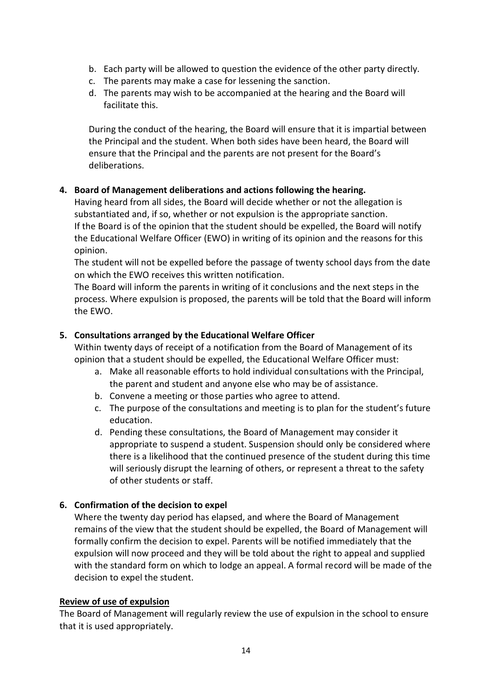- b. Each party will be allowed to question the evidence of the other party directly.
- c. The parents may make a case for lessening the sanction.
- d. The parents may wish to be accompanied at the hearing and the Board will facilitate this.

During the conduct of the hearing, the Board will ensure that it is impartial between the Principal and the student. When both sides have been heard, the Board will ensure that the Principal and the parents are not present for the Board's deliberations.

# **4. Board of Management deliberations and actions following the hearing.**

Having heard from all sides, the Board will decide whether or not the allegation is substantiated and, if so, whether or not expulsion is the appropriate sanction. If the Board is of the opinion that the student should be expelled, the Board will notify the Educational Welfare Officer (EWO) in writing of its opinion and the reasons for this opinion.

The student will not be expelled before the passage of twenty school days from the date on which the EWO receives this written notification.

The Board will inform the parents in writing of it conclusions and the next steps in the process. Where expulsion is proposed, the parents will be told that the Board will inform the EWO.

# **5. Consultations arranged by the Educational Welfare Officer**

Within twenty days of receipt of a notification from the Board of Management of its opinion that a student should be expelled, the Educational Welfare Officer must:

- a. Make all reasonable efforts to hold individual consultations with the Principal, the parent and student and anyone else who may be of assistance.
- b. Convene a meeting or those parties who agree to attend.
- c. The purpose of the consultations and meeting is to plan for the student's future education.
- d. Pending these consultations, the Board of Management may consider it appropriate to suspend a student. Suspension should only be considered where there is a likelihood that the continued presence of the student during this time will seriously disrupt the learning of others, or represent a threat to the safety of other students or staff.

# **6. Confirmation of the decision to expel**

Where the twenty day period has elapsed, and where the Board of Management remains of the view that the student should be expelled, the Board of Management will formally confirm the decision to expel. Parents will be notified immediately that the expulsion will now proceed and they will be told about the right to appeal and supplied with the standard form on which to lodge an appeal. A formal record will be made of the decision to expel the student.

#### **Review of use of expulsion**

The Board of Management will regularly review the use of expulsion in the school to ensure that it is used appropriately.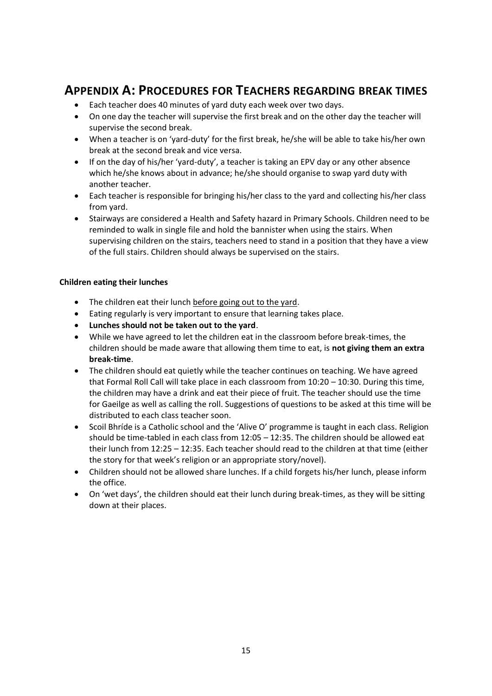# **APPENDIX A: PROCEDURES FOR TEACHERS REGARDING BREAK TIMES**

- Each teacher does 40 minutes of yard duty each week over two days.
- On one day the teacher will supervise the first break and on the other day the teacher will supervise the second break.
- When a teacher is on 'yard-duty' for the first break, he/she will be able to take his/her own break at the second break and vice versa.
- If on the day of his/her 'yard-duty', a teacher is taking an EPV day or any other absence which he/she knows about in advance; he/she should organise to swap yard duty with another teacher.
- Each teacher is responsible for bringing his/her class to the yard and collecting his/her class from yard.
- Stairways are considered a Health and Safety hazard in Primary Schools. Children need to be reminded to walk in single file and hold the bannister when using the stairs. When supervising children on the stairs, teachers need to stand in a position that they have a view of the full stairs. Children should always be supervised on the stairs.

#### **Children eating their lunches**

- The children eat their lunch before going out to the yard.
- Eating regularly is very important to ensure that learning takes place.
- **Lunches should not be taken out to the yard**.
- While we have agreed to let the children eat in the classroom before break-times, the children should be made aware that allowing them time to eat, is **not giving them an extra break-time**.
- The children should eat quietly while the teacher continues on teaching. We have agreed that Formal Roll Call will take place in each classroom from 10:20 – 10:30. During this time, the children may have a drink and eat their piece of fruit. The teacher should use the time for Gaeilge as well as calling the roll. Suggestions of questions to be asked at this time will be distributed to each class teacher soon.
- Scoil Bhríde is a Catholic school and the 'Alive O' programme is taught in each class. Religion should be time-tabled in each class from 12:05 – 12:35. The children should be allowed eat their lunch from 12:25 – 12:35. Each teacher should read to the children at that time (either the story for that week's religion or an appropriate story/novel).
- Children should not be allowed share lunches. If a child forgets his/her lunch, please inform the office.
- On 'wet days', the children should eat their lunch during break-times, as they will be sitting down at their places.